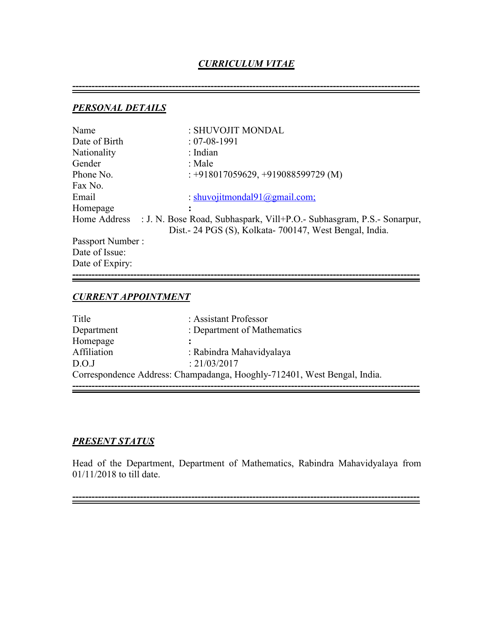# *CURRICULUM VITAE*

**------------------------------------------------------------------------------------------------------------**

*PERSONAL DETAILS*

| Name             | : SHUVOJIT MONDAL                                                     |
|------------------|-----------------------------------------------------------------------|
| Date of Birth    | $: 07 - 08 - 1991$                                                    |
| Nationality      | : Indian                                                              |
| Gender           | : Male                                                                |
| Phone No.        | $: +918017059629, +919088599729$ (M)                                  |
| Fax No.          |                                                                       |
| Email            | : shuvojitmondal $91$ @gmail.com;                                     |
| Homepage         |                                                                       |
| Home Address     | : J. N. Bose Road, Subhaspark, Vill+P.O.- Subhasgram, P.S.- Sonarpur, |
|                  | Dist. - 24 PGS (S), Kolkata - 700147, West Bengal, India.             |
| Passport Number: |                                                                       |
| Date of Issue:   |                                                                       |
| Date of Expiry:  |                                                                       |
|                  |                                                                       |

# *CURRENT APPOINTMENT*

| Title       | : Assistant Professor                                                    |
|-------------|--------------------------------------------------------------------------|
| Department  | : Department of Mathematics                                              |
| Homepage    |                                                                          |
| Affiliation | : Rabindra Mahavidyalaya                                                 |
| D.O.J       | : 21/03/2017                                                             |
|             | Correspondence Address: Champadanga, Hooghly-712401, West Bengal, India. |

## *PRESENT STATUS*

Head of the Department, Department of Mathematics, Rabindra Mahavidyalaya from 01/11/2018 to till date.

**------------------------------------------------------------------------------------------------------------**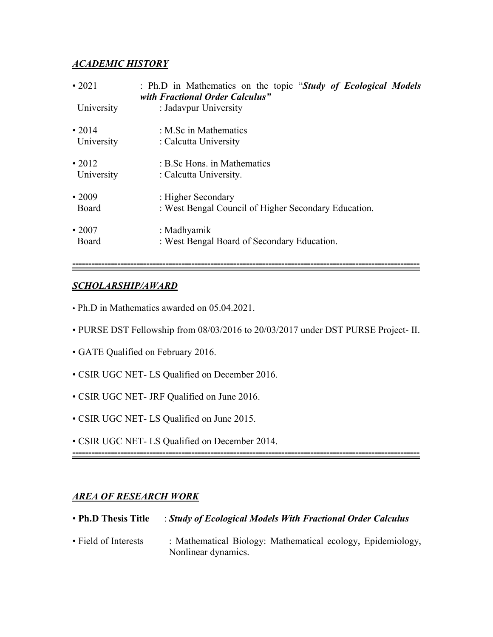## *ACADEMIC HISTORY*

| $\cdot$ 2021 | : Ph.D in Mathematics on the topic "Study of Ecological Models"<br>with Fractional Order Calculus" |
|--------------|----------------------------------------------------------------------------------------------------|
| University   | : Jadavpur University                                                                              |
| $\cdot$ 2014 | : M.Sc in Mathematics                                                                              |
| University   | : Calcutta University                                                                              |
| $\cdot$ 2012 | : B.Sc Hons. in Mathematics                                                                        |
| University   | : Calcutta University.                                                                             |
| $\cdot$ 2009 | : Higher Secondary                                                                                 |
| Board        | : West Bengal Council of Higher Secondary Education.                                               |
| $\cdot 2007$ | : Madhyamik                                                                                        |
| Board        | : West Bengal Board of Secondary Education.                                                        |

## *SCHOLARSHIP/AWARD*

- Ph.D in Mathematics awarded on 05.04.2021.
- PURSE DST Fellowship from 08/03/2016 to 20/03/2017 under DST PURSE Project- II.

**------------------------------------------------------------------------------------------------------------**

- GATE Qualified on February 2016.
- CSIR UGC NET- LS Qualified on December 2016.
- CSIR UGC NET- JRF Qualified on June 2016.
- CSIR UGC NET- LS Qualified on June 2015.
- CSIR UGC NET- LS Qualified on December 2014.

**------------------------------------------------------------------------------------------------------------**

# *AREA OF RESEARCH WORK*

| • Ph.D Thesis Title  | : Study of Ecological Models With Fractional Order Calculus                        |
|----------------------|------------------------------------------------------------------------------------|
| • Field of Interests | : Mathematical Biology: Mathematical ecology, Epidemiology,<br>Nonlinear dynamics. |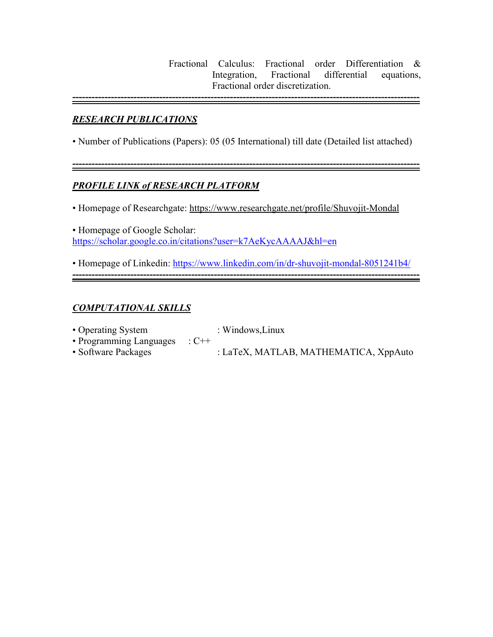Fractional Calculus: Fractional order Differentiation & Integration, Fractional differential equations, Fractional order discretization.

**------------------------------------------------------------------------------------------------------------**

**------------------------------------------------------------------------------------------------------------**

### *RESEARCH PUBLICATIONS*

• Number of Publications (Papers): 05 (05 International) till date (Detailed list attached)

# *PROFILE LINK of RESEARCH PLATFORM*

• Homepage of Researchgate: <https://www.researchgate.net/profile/Shuvojit-Mondal>

• Homepage of Google Scholar: <https://scholar.google.co.in/citations?user=k7AeKycAAAAJ&hl=en>

• Homepage of Linkedin: <https://www.linkedin.com/in/dr-shuvojit-mondal-8051241b4/> **------------------------------------------------------------------------------------------------------------**

### *COMPUTATIONAL SKILLS*

- Operating System : Windows, Linux<br>• Programming Languages : C++ • Programming Languages
- Software Packages : LaTeX, MATLAB, MATHEMATICA, XppAuto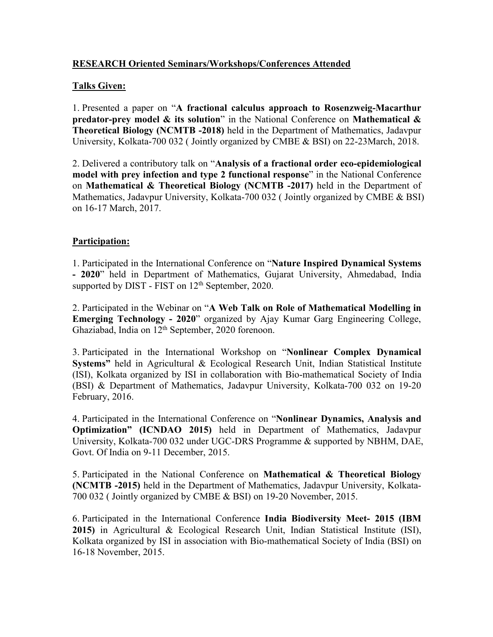### **RESEARCH Oriented Seminars/Workshops/Conferences Attended**

## **Talks Given:**

1. Presented a paper on "**A fractional calculus approach to Rosenzweig-Macarthur predator-prey model & its solution**" in the National Conference on **Mathematical & Theoretical Biology (NCMTB -2018)** held in the Department of Mathematics, Jadavpur University, Kolkata-700 032 ( Jointly organized by CMBE & BSI) on 22-23March, 2018.

2. Delivered a contributory talk on "**Analysis of a fractional order eco-epidemiological model with prey infection and type2 functional response**" in the National Conference on **Mathematical & Theoretical Biology (NCMTB -2017)** held in the Department of Mathematics, Jadavpur University, Kolkata-700 032 ( Jointly organized by CMBE & BSI) on 16-17 March, 2017.

## **Participation:**

1. Participated in the International Conference on "**Nature Inspired Dynamical Systems - 2020**" held in Department of Mathematics, Gujarat University, Ahmedabad, India supported by DIST - FIST on 12<sup>th</sup> September, 2020.

2. Participated in the Webinar on "**A Web Talk on Role of Mathematical Modelling in Emerging Technology - 2020**" organized by Ajay Kumar Garg Engineering College, Ghaziabad, India on 12<sup>th</sup> September, 2020 forenoon.

3. Participated in the International Workshop on "**Nonlinear Complex Dynamical Systems"** held in Agricultural & Ecological Research Unit, Indian Statistical Institute (ISI), Kolkata organized by ISI in collaboration with Bio-mathematical Society of India (BSI) & Department of Mathematics, Jadavpur University, Kolkata-700 032 on 19-20 February, 2016.

4. Participated in the International Conference on "**Nonlinear Dynamics, Analysis and Optimization" (ICNDAO 2015)** held in Department of Mathematics, Jadavpur University, Kolkata-700 032 under UGC-DRS Programme & supported by NBHM, DAE, Govt. Of India on 9-11 December, 2015.

5. Participated in the National Conference on **Mathematical & Theoretical Biology (NCMTB -2015)** held in the Department of Mathematics, Jadavpur University, Kolkata- 700 032 ( Jointly organized by CMBE & BSI) on 19-20 November, 2015.

6. Participated in the International Conference **India Biodiversity Meet- 2015 (IBM 2015)** in Agricultural & Ecological Research Unit, Indian Statistical Institute (ISI), Kolkata organized by ISI in association with Bio-mathematical Society of India (BSI) on 16-18 November, 2015.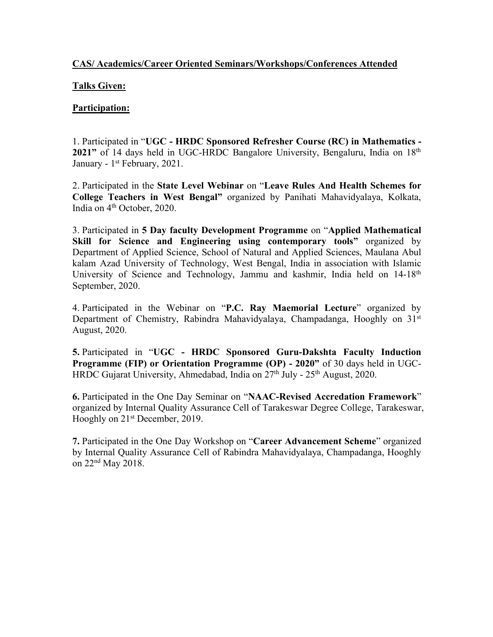#### **CAS/ Academics/Career Oriented Seminars/Workshops/Conferences Attended**

#### **Talks Given:**

#### **Participation:**

1. Participated in "**UGC - HRDC Sponsored Refresher Course (RC) in Mathematics -** 2021" of 14 days held in UGC-HRDC Bangalore University, Bengaluru, India on 18<sup>th</sup> January - 1 st February, 2021.

2. Participated in the **State Level Webinar** on "**Leave Rules And Health Schemes for College Teachers in West Bengal"** organized by Panihati Mahavidyalaya, Kolkata, India on 4 th October, 2020.

3. Participated in **5 Day faculty Development Programme** on "**Applied Mathematical Skill for Science and Engineering using contemporary tools"** organized by Department of Applied Science, School of Natural and Applied Sciences, Maulana Abul kalam Azad University of Technology, West Bengal, India in association with Islamic University of Science and Technology, Jammu and kashmir, India held on 14-18<sup>th</sup> September, 2020.

4. Participated in the Webinar on "**P.C. Ray Maemorial Lecture**" organized by Department of Chemistry, Rabindra Mahavidyalaya, Champadanga, Hooghly on 31 st August, 2020.

**5.** Participated in "**UGC - HRDC Sponsored Guru-Dakshta Faculty Induction Programme (FIP) or Orientation Programme (OP) - 2020"** of 30 daysheld in UGC- HRDC Gujarat University, Ahmedabad, India on 27<sup>th</sup> July - 25<sup>th</sup> August, 2020.

**6.** Participated in the One Day Seminar on "**NAAC-Revised Accredation Framework**" organized by Internal Quality Assurance Cell of Tarakeswar Degree College,Tarakeswar, Hooghly on 21 st December, 2019.

**7.** Participated in the One Day Workshop on "**Career Advancement Scheme**" organized by Internal Quality Assurance Cell of Rabindra Mahavidyalaya, Champadanga, Hooghly on 22 nd May 2018.